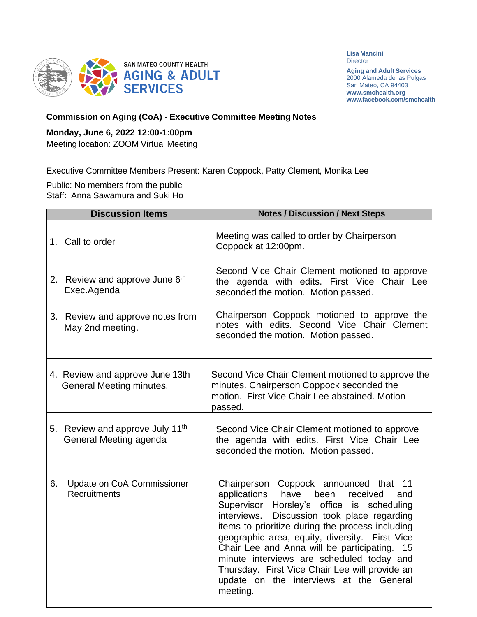

**Lisa Mancini Director** 

**Aging and Adult Services** 2000 Alameda de las Pulgas San Mateo, CA 94403 **[www.smchealth.org](http://www.smchealth.org/) [www.facebook.com/smchealth](http://www.facebook.com/smchealth)**

## **Commission on Aging (CoA) - Executive Committee Meeting Notes**

## **Monday, June 6, 2022 12:00-1:00pm**

Meeting location: ZOOM Virtual Meeting

Executive Committee Members Present: Karen Coppock, Patty Clement, Monika Lee

Public: No members from the public Staff: Anna Sawamura and Suki Ho

| <b>Discussion Items</b>                                            | <b>Notes / Discussion / Next Steps</b>                                                                                                                                                                                                                                                                                                                                                                                                                                                              |
|--------------------------------------------------------------------|-----------------------------------------------------------------------------------------------------------------------------------------------------------------------------------------------------------------------------------------------------------------------------------------------------------------------------------------------------------------------------------------------------------------------------------------------------------------------------------------------------|
| 1. Call to order                                                   | Meeting was called to order by Chairperson<br>Coppock at 12:00pm.                                                                                                                                                                                                                                                                                                                                                                                                                                   |
| 2. Review and approve June 6th<br>Exec.Agenda                      | Second Vice Chair Clement motioned to approve<br>the agenda with edits. First Vice Chair Lee<br>seconded the motion. Motion passed.                                                                                                                                                                                                                                                                                                                                                                 |
| 3. Review and approve notes from<br>May 2nd meeting.               | Chairperson Coppock motioned to approve the<br>notes with edits. Second Vice Chair Clement<br>seconded the motion. Motion passed.                                                                                                                                                                                                                                                                                                                                                                   |
| 4. Review and approve June 13th<br><b>General Meeting minutes.</b> | Second Vice Chair Clement motioned to approve the<br>minutes. Chairperson Coppock seconded the<br>motion. First Vice Chair Lee abstained. Motion<br>bassed.                                                                                                                                                                                                                                                                                                                                         |
| 5. Review and approve July 11th<br>General Meeting agenda          | Second Vice Chair Clement motioned to approve<br>the agenda with edits. First Vice Chair Lee<br>seconded the motion. Motion passed.                                                                                                                                                                                                                                                                                                                                                                 |
| Update on CoA Commissioner<br>6.<br><b>Recruitments</b>            | Chairperson Coppock announced that 11<br>applications<br>have<br>been<br>received<br>and<br>Supervisor Horsley's office is scheduling<br>Discussion took place regarding<br>interviews.<br>items to prioritize during the process including<br>geographic area, equity, diversity. First Vice<br>Chair Lee and Anna will be participating. 15<br>minute interviews are scheduled today and<br>Thursday. First Vice Chair Lee will provide an<br>update on the interviews at the General<br>meeting. |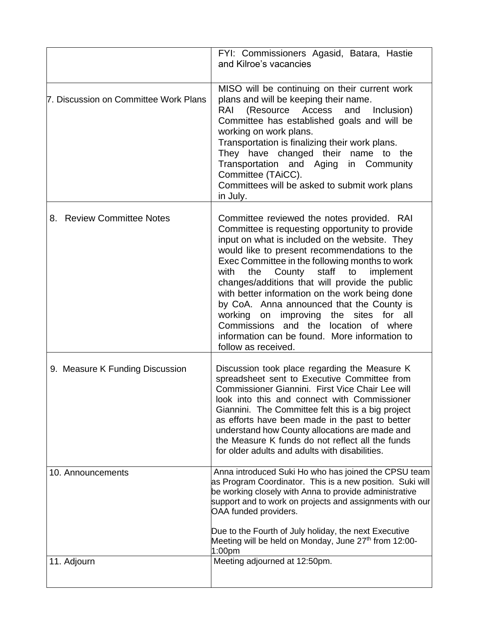|                                       | FYI: Commissioners Agasid, Batara, Hastie<br>and Kilroe's vacancies                                                                                                                                                                                                                                                                                                                                                                                                                                                                                                                                                  |
|---------------------------------------|----------------------------------------------------------------------------------------------------------------------------------------------------------------------------------------------------------------------------------------------------------------------------------------------------------------------------------------------------------------------------------------------------------------------------------------------------------------------------------------------------------------------------------------------------------------------------------------------------------------------|
| 7. Discussion on Committee Work Plans | MISO will be continuing on their current work<br>plans and will be keeping their name.<br>(Resource Access<br>and<br>RAI<br>Inclusion)<br>Committee has established goals and will be<br>working on work plans.<br>Transportation is finalizing their work plans.<br>They have changed their name to the<br>Transportation and Aging in Community<br>Committee (TAiCC).<br>Committees will be asked to submit work plans<br>in July.                                                                                                                                                                                 |
| 8. Review Committee Notes             | Committee reviewed the notes provided. RAI<br>Committee is requesting opportunity to provide<br>input on what is included on the website. They<br>would like to present recommendations to the<br>Exec Committee in the following months to work<br>County<br>staff<br>with<br>the<br>to<br>implement<br>changes/additions that will provide the public<br>with better information on the work being done<br>by CoA. Anna announced that the County is<br>working on improving the sites for all<br>Commissions and<br>the location of where<br>information can be found. More information to<br>follow as received. |
| 9. Measure K Funding Discussion       | Discussion took place regarding the Measure K<br>spreadsheet sent to Executive Committee from<br>Commissioner Giannini. First Vice Chair Lee will<br>look into this and connect with Commissioner<br>Giannini. The Committee felt this is a big project<br>as efforts have been made in the past to better<br>understand how County allocations are made and<br>the Measure K funds do not reflect all the funds<br>for older adults and adults with disabilities.                                                                                                                                                   |
| 10. Announcements                     | Anna introduced Suki Ho who has joined the CPSU team<br>as Program Coordinator. This is a new position. Suki will<br>be working closely with Anna to provide administrative<br>support and to work on projects and assignments with our<br>OAA funded providers.<br>Due to the Fourth of July holiday, the next Executive<br>Meeting will be held on Monday, June 27 <sup>th</sup> from 12:00-<br>1:00 <sub>pm</sub>                                                                                                                                                                                                 |
| 11. Adjourn                           | Meeting adjourned at 12:50pm.                                                                                                                                                                                                                                                                                                                                                                                                                                                                                                                                                                                        |